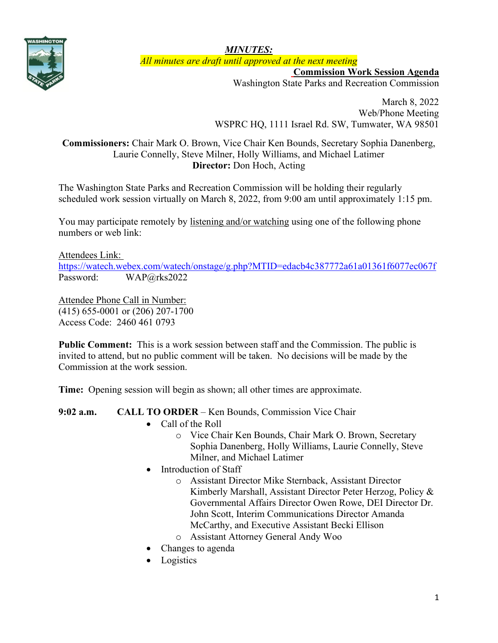

*MINUTES: All minutes are draft until approved at the next meeting*

**Commission Work Session Agenda**

Washington State Parks and Recreation Commission

March 8, 2022 Web/Phone Meeting WSPRC HQ, 1111 Israel Rd. SW, Tumwater, WA 98501

## **Commissioners:** Chair Mark O. Brown, Vice Chair Ken Bounds, Secretary Sophia Danenberg, Laurie Connelly, Steve Milner, Holly Williams, and Michael Latimer **Director:** Don Hoch, Acting

The Washington State Parks and Recreation Commission will be holding their regularly scheduled work session virtually on March 8, 2022, from 9:00 am until approximately 1:15 pm.

You may participate remotely by listening and/or watching using one of the following phone numbers or web link:

## Attendees Link:

<https://watech.webex.com/watech/onstage/g.php?MTID=edacb4c387772a61a01361f6077ec067f> Password: WAP@rks2022

Attendee Phone Call in Number: (415) 655-0001 or (206) 207-1700 Access Code: 2460 461 0793

**Public Comment:** This is a work session between staff and the Commission. The public is invited to attend, but no public comment will be taken. No decisions will be made by the Commission at the work session.

**Time:** Opening session will begin as shown; all other times are approximate.

## **9:02 a.m. CALL TO ORDER** – Ken Bounds, Commission Vice Chair

- Call of the Roll
	- o Vice Chair Ken Bounds, Chair Mark O. Brown, Secretary Sophia Danenberg, Holly Williams, Laurie Connelly, Steve Milner, and Michael Latimer
- Introduction of Staff
	- o Assistant Director Mike Sternback, Assistant Director Kimberly Marshall, Assistant Director Peter Herzog, Policy & Governmental Affairs Director Owen Rowe, DEI Director Dr. John Scott, Interim Communications Director Amanda McCarthy, and Executive Assistant Becki Ellison
	- o Assistant Attorney General Andy Woo
- Changes to agenda
- Logistics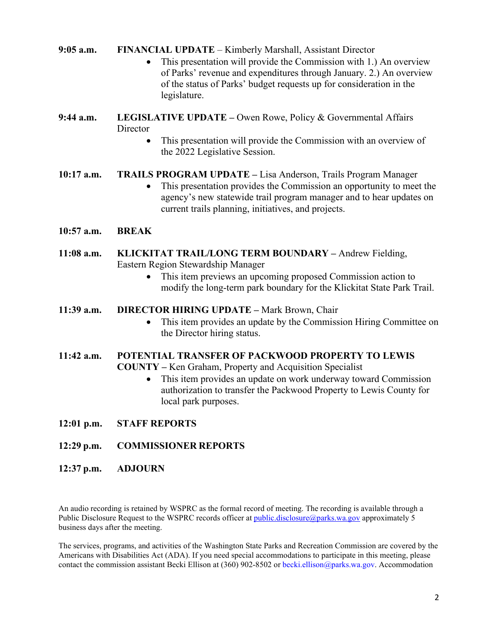**9:05 a.m. FINANCIAL UPDATE** – Kimberly Marshall, Assistant Director

- This presentation will provide the Commission with 1.) An overview of Parks' revenue and expenditures through January. 2.) An overview of the status of Parks' budget requests up for consideration in the legislature.
- **9:44 a.m. LEGISLATIVE UPDATE –** Owen Rowe, Policy & Governmental Affairs **Director** 
	- This presentation will provide the Commission with an overview of the 2022 Legislative Session.

**10:17 a.m. TRAILS PROGRAM UPDATE –** Lisa Anderson, Trails Program Manager

- This presentation provides the Commission an opportunity to meet the agency's new statewide trail program manager and to hear updates on current trails planning, initiatives, and projects.
- **10:57 a.m. BREAK**
- **11:08 a.m. KLICKITAT TRAIL/LONG TERM BOUNDARY –** Andrew Fielding, Eastern Region Stewardship Manager
	- This item previews an upcoming proposed Commission action to modify the long-term park boundary for the Klickitat State Park Trail.
- **11:39 a.m. DIRECTOR HIRING UPDATE –** Mark Brown, Chair
	- This item provides an update by the Commission Hiring Committee on the Director hiring status.

## **11:42 a.m. POTENTIAL TRANSFER OF PACKWOOD PROPERTY TO LEWIS**

**COUNTY –** Ken Graham, Property and Acquisition Specialist

- This item provides an update on work underway toward Commission authorization to transfer the Packwood Property to Lewis County for local park purposes.
- **12:01 p.m. STAFF REPORTS**
- **12:29 p.m. COMMISSIONER REPORTS**
- **12:37 p.m. ADJOURN**

An audio recording is retained by WSPRC as the formal record of meeting. The recording is available through a Public Disclosure Request to the WSPRC records officer at *public.disclosure@parks.wa.gov* approximately 5 business days after the meeting.

The services, programs, and activities of the Washington State Parks and Recreation Commission are covered by the Americans with Disabilities Act (ADA). If you need special accommodations to participate in this meeting, please contact the commission assistant Becki Ellison at (360) 902-8502 or becki.ellison@parks.wa.gov. Accommodation